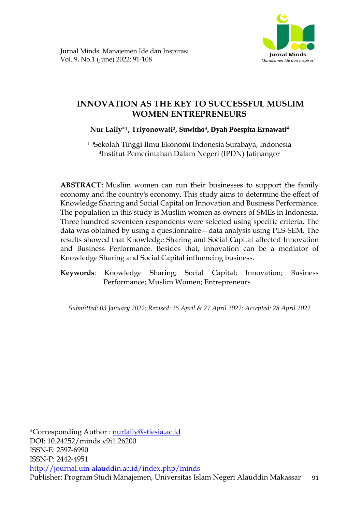

# **INNOVATION AS THE KEY TO SUCCESSFUL MUSLIM WOMEN ENTREPRENEURS**

## **Nur Laily\*1, Triyonowati2, Suwitho3, Dyah Poespita Ernawati<sup>4</sup>**

1-3Sekolah Tinggi Ilmu Ekonomi Indonesia Surabaya, Indonesia <sup>4</sup>Institut Pemerintahan Dalam Negeri (IPDN) Jatinangor

**ABSTRACT:** Muslim women can run their businesses to support the family economy and the country's economy. This study aims to determine the effect of Knowledge Sharing and Social Capital on Innovation and Business Performance. The population in this study is Muslim women as owners of SMEs in Indonesia. Three hundred seventeen respondents were selected using specific criteria. The data was obtained by using a questionnaire—data analysis using PLS-SEM. The results showed that Knowledge Sharing and Social Capital affected Innovation and Business Performance. Besides that, innovation can be a mediator of Knowledge Sharing and Social Capital influencing business.

**Keywords***:* Knowledge Sharing; Social Capital; Innovation; Business Performance; Muslim Women; Entrepreneurs

*Submitted: 03 January 2022; Revised: 25 April & 27 April 2022; Accepted: 28 April 2022*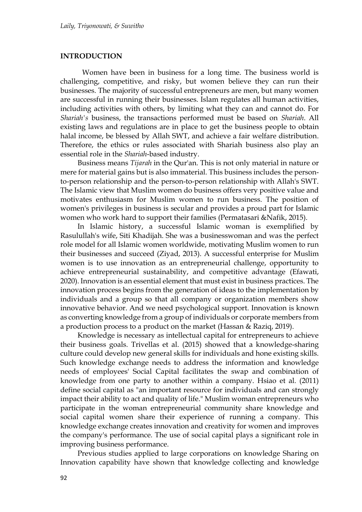#### **INTRODUCTION**

Women have been in business for a long time. The business world is challenging, competitive, and risky, but women believe they can run their businesses. The majority of successful entrepreneurs are men, but many women are successful in running their businesses. Islam regulates all human activities, including activities with others, by limiting what they can and cannot do. For *Shariah's* business, the transactions performed must be based on *Shariah*. All existing laws and regulations are in place to get the business people to obtain halal income, be blessed by Allah SWT, and achieve a fair welfare distribution. Therefore, the ethics or rules associated with Shariah business also play an essential role in the *Shariah*-based industry.

Business means *Tijarah* in the Qur'an. This is not only material in nature or mere for material gains but is also immaterial. This business includes the personto-person relationship and the person-to-person relationship with Allah's SWT. The Islamic view that Muslim women do business offers very positive value and motivates enthusiasm for Muslim women to run business. The position of women's privileges in business is secular and provides a proud part for Islamic women who work hard to support their families (Permatasari &Nafik, 2015).

In Islamic history, a successful Islamic woman is exemplified by Rasulullah's wife, Siti Khadijah. She was a businesswoman and was the perfect role model for all Islamic women worldwide, motivating Muslim women to run their businesses and succeed (Ziyad, 2013). A successful enterprise for Muslim women is to use innovation as an entrepreneurial challenge, opportunity to achieve entrepreneurial sustainability, and competitive advantage (Efawati, 2020). Innovation is an essential element that must exist in business practices. The innovation process begins from the generation of ideas to the implementation by individuals and a group so that all company or organization members show innovative behavior. And we need psychological support. Innovation is known as converting knowledge from a group of individuals or corporate members from a production process to a product on the market (Hassan & Raziq, 2019).

Knowledge is necessary as intellectual capital for entrepreneurs to achieve their business goals. Trivellas et al. (2015) showed that a knowledge-sharing culture could develop new general skills for individuals and hone existing skills. Such knowledge exchange needs to address the information and knowledge needs of employees' Social Capital facilitates the swap and combination of knowledge from one party to another within a company. Hsiao et al. (2011) define social capital as "an important resource for individuals and can strongly impact their ability to act and quality of life." Muslim woman entrepreneurs who participate in the woman entrepreneurial community share knowledge and social capital women share their experience of running a company. This knowledge exchange creates innovation and creativity for women and improves the company's performance. The use of social capital plays a significant role in improving business performance.

Previous studies applied to large corporations on knowledge Sharing on Innovation capability have shown that knowledge collecting and knowledge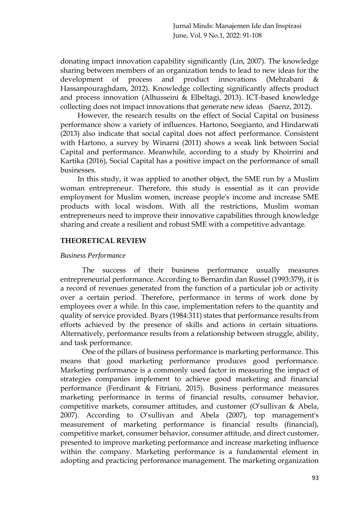donating impact innovation capability significantly (Lin, 2007). The knowledge sharing between members of an organization tends to lead to new ideas for the development of process and product innovations (Mehrabani & Hassanpouraghdam, 2012). Knowledge collecting significantly affects product and process innovation (Alhusseini & Elbeltagi, 2013). ICT-based knowledge collecting does not impact innovations that generate new ideas (Saenz, 2012).

However, the research results on the effect of Social Capital on business performance show a variety of influences. Hartono, Soegianto, and Hindarwati (2013) also indicate that social capital does not affect performance. Consistent with Hartono, a survey by Winarni (2011) shows a weak link between Social Capital and performance. Meanwhile, according to a study by Khoirrini and Kartika (2016), Social Capital has a positive impact on the performance of small businesses.

In this study, it was applied to another object, the SME run by a Muslim woman entrepreneur. Therefore, this study is essential as it can provide employment for Muslim women, increase people's income and increase SME products with local wisdom. With all the restrictions, Muslim woman entrepreneurs need to improve their innovative capabilities through knowledge sharing and create a resilient and robust SME with a competitive advantage.

## **THEORETICAL REVIEW**

## *Business Performance*

The success of their business performance usually measures entrepreneurial performance. According to Bernardin dan Russel (1993:379), it is a record of revenues generated from the function of a particular job or activity over a certain period. Therefore, performance in terms of work done by employees over a while. In this case, implementation refers to the quantity and quality of service provided. Byars (1984:311) states that performance results from efforts achieved by the presence of skills and actions in certain situations. Alternatively, performance results from a relationship between struggle, ability, and task performance.

One of the pillars of business performance is marketing performance. This means that good marketing performance produces good performance. Marketing performance is a commonly used factor in measuring the impact of strategies companies implement to achieve good marketing and financial performance (Ferdinant & Fitriani, 2015). Business performance measures marketing performance in terms of financial results, consumer behavior, competitive markets, consumer attitudes, and customer (O'sullivan & Abela, 2007). According to O'sullivan and Abela (2007), top management's measurement of marketing performance is financial results (financial), competitive market, consumer behavior, consumer attitude, and direct customer, presented to improve marketing performance and increase marketing influence within the company. Marketing performance is a fundamental element in adopting and practicing performance management. The marketing organization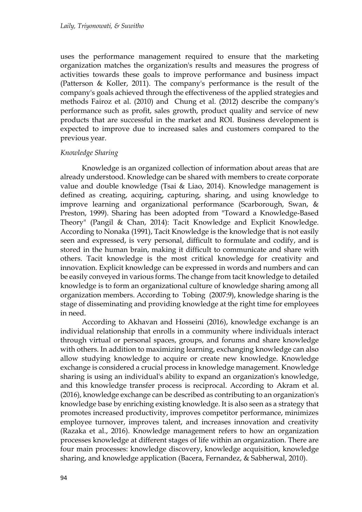uses the performance management required to ensure that the marketing organization matches the organization's results and measures the progress of activities towards these goals to improve performance and business impact (Patterson & Koller, 2011). The company's performance is the result of the company's goals achieved through the effectiveness of the applied strategies and methods Fairoz et al. (2010) and Chung et al. (2012) describe the company's performance such as profit, sales growth, product quality and service of new products that are successful in the market and ROI. Business development is expected to improve due to increased sales and customers compared to the previous year.

## *Knowledge Sharing*

Knowledge is an organized collection of information about areas that are already understood. Knowledge can be shared with members to create corporate value and double knowledge (Tsai & Liao, 2014). Knowledge management is defined as creating, acquiring, capturing, sharing, and using knowledge to improve learning and organizational performance (Scarborough, Swan, & Preston, 1999). Sharing has been adopted from "Toward a Knowledge-Based Theory" (Pangil & Chan, 2014): Tacit Knowledge and Explicit Knowledge. According to Nonaka (1991), Tacit Knowledge is the knowledge that is not easily seen and expressed, is very personal, difficult to formulate and codify, and is stored in the human brain, making it difficult to communicate and share with others. Tacit knowledge is the most critical knowledge for creativity and innovation. Explicit knowledge can be expressed in words and numbers and can be easily conveyed in various forms. The change from tacit knowledge to detailed knowledge is to form an organizational culture of knowledge sharing among all organization members. According to Tobing (2007:9), knowledge sharing is the stage of disseminating and providing knowledge at the right time for employees in need.

According to Akhavan and Hosseini (2016), knowledge exchange is an individual relationship that enrolls in a community where individuals interact through virtual or personal spaces, groups, and forums and share knowledge with others. In addition to maximizing learning, exchanging knowledge can also allow studying knowledge to acquire or create new knowledge. Knowledge exchange is considered a crucial process in knowledge management. Knowledge sharing is using an individual's ability to expand an organization's knowledge, and this knowledge transfer process is reciprocal. According to Akram et al. (2016), knowledge exchange can be described as contributing to an organization's knowledge base by enriching existing knowledge. It is also seen as a strategy that promotes increased productivity, improves competitor performance, minimizes employee turnover, improves talent, and increases innovation and creativity (Razaka et al., 2016). Knowledge management refers to how an organization processes knowledge at different stages of life within an organization. There are four main processes: knowledge discovery, knowledge acquisition, knowledge sharing, and knowledge application (Bacera, Fernandez, & Sabherwal, 2010).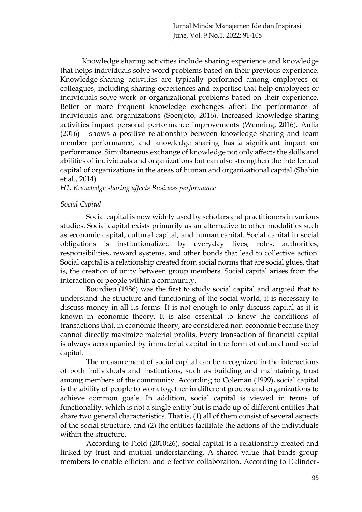Knowledge sharing activities include sharing experience and knowledge that helps individuals solve word problems based on their previous experience. Knowledge-sharing activities are typically performed among employees or colleagues, including sharing experiences and expertise that help employees or individuals solve work or organizational problems based on their experience. Better or more frequent knowledge exchanges affect the performance of individuals and organizations (Soenjoto, 2016). Increased knowledge-sharing activities impact personal performance improvements (Wenning, 2016). Aulia (2016) shows a positive relationship between knowledge sharing and team member performance, and knowledge sharing has a significant impact on performance. Simultaneous exchange of knowledge not only affects the skills and abilities of individuals and organizations but can also strengthen the intellectual capital of organizations in the areas of human and organizational capital (Shahin et al., 2014)

## *H1: Knowledge sharing affects Business performance*

## *Social Capital*

Social capital is now widely used by scholars and practitioners in various studies. Social capital exists primarily as an alternative to other modalities such as economic capital, cultural capital, and human capital. Social capital in social obligations is institutionalized by everyday lives, roles, authorities, responsibilities, reward systems, and other bonds that lead to collective action. Social capital is a relationship created from social norms that are social glues, that is, the creation of unity between group members. Social capital arises from the interaction of people within a community.

Bourdieu (1986) was the first to study social capital and argued that to understand the structure and functioning of the social world, it is necessary to discuss money in all its forms. It is not enough to only discuss capital as it is known in economic theory. It is also essential to know the conditions of transactions that, in economic theory, are considered non-economic because they cannot directly maximize material profits. Every transaction of financial capital is always accompanied by immaterial capital in the form of cultural and social capital.

The measurement of social capital can be recognized in the interactions of both individuals and institutions, such as building and maintaining trust among members of the community. According to Coleman (1999), social capital is the ability of people to work together in different groups and organizations to achieve common goals. In addition, social capital is viewed in terms of functionality, which is not a single entity but is made up of different entities that share two general characteristics. That is, (1) all of them consist of several aspects of the social structure, and (2) the entities facilitate the actions of the individuals within the structure.

According to Field (2010:26), social capital is a relationship created and linked by trust and mutual understanding. A shared value that binds group members to enable efficient and effective collaboration. According to Eklinder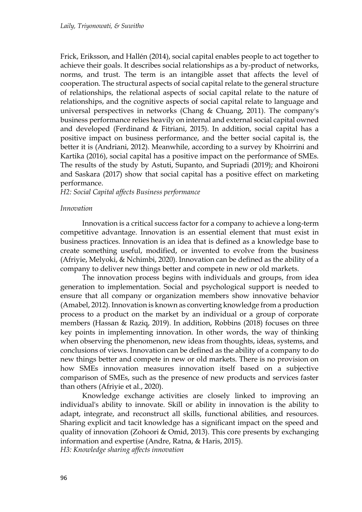Frick, Eriksson, and Hallén (2014), social capital enables people to act together to achieve their goals. It describes social relationships as a by-product of networks, norms, and trust. The term is an intangible asset that affects the level of cooperation. The structural aspects of social capital relate to the general structure of relationships, the relational aspects of social capital relate to the nature of relationships, and the cognitive aspects of social capital relate to language and universal perspectives in networks (Chang & Chuang, 2011). The company's business performance relies heavily on internal and external social capital owned and developed (Ferdinand & Fitriani, 2015). In addition, social capital has a positive impact on business performance, and the better social capital is, the better it is (Andriani, 2012). Meanwhile, according to a survey by Khoirrini and Kartika (2016), social capital has a positive impact on the performance of SMEs. The results of the study by Astuti, Supanto, and Supriadi (2019); and Khoironi and Saskara (2017) show that social capital has a positive effect on marketing performance.

*H2: Social Capital affects Business performance*

#### *Innovation*

Innovation is a critical success factor for a company to achieve a long-term competitive advantage. Innovation is an essential element that must exist in business practices. Innovation is an idea that is defined as a knowledge base to create something useful, modified, or invented to evolve from the business (Afriyie, Melyoki, & Nchimbi, 2020). Innovation can be defined as the ability of a company to deliver new things better and compete in new or old markets.

The innovation process begins with individuals and groups, from idea generation to implementation. Social and psychological support is needed to ensure that all company or organization members show innovative behavior (Amabel, 2012). Innovation is known as converting knowledge from a production process to a product on the market by an individual or a group of corporate members (Hassan & Raziq, 2019). In addition, Robbins (2018) focuses on three key points in implementing innovation. In other words, the way of thinking when observing the phenomenon, new ideas from thoughts, ideas, systems, and conclusions of views. Innovation can be defined as the ability of a company to do new things better and compete in new or old markets. There is no provision on how SMEs innovation measures innovation itself based on a subjective comparison of SMEs, such as the presence of new products and services faster than others (Afriyie et al., 2020).

Knowledge exchange activities are closely linked to improving an individual's ability to innovate. Skill or ability in innovation is the ability to adapt, integrate, and reconstruct all skills, functional abilities, and resources. Sharing explicit and tacit knowledge has a significant impact on the speed and quality of innovation (Zohoori & Omid, 2013). This core presents by exchanging information and expertise (Andre, Ratna, & Haris, 2015). *H3: Knowledge sharing affects innovation*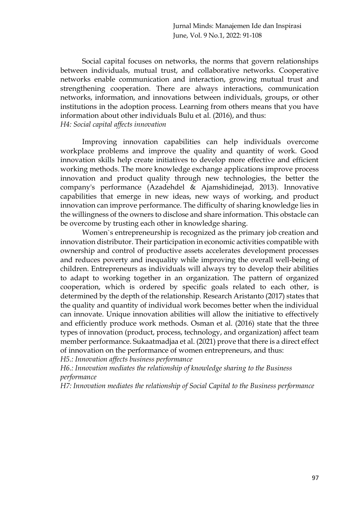Social capital focuses on networks, the norms that govern relationships between individuals, mutual trust, and collaborative networks. Cooperative networks enable communication and interaction, growing mutual trust and strengthening cooperation. There are always interactions, communication networks, information, and innovations between individuals, groups, or other institutions in the adoption process. Learning from others means that you have information about other individuals Bulu et al. (2016), and thus: *H4: Social capital affects innovation*

Improving innovation capabilities can help individuals overcome workplace problems and improve the quality and quantity of work. Good innovation skills help create initiatives to develop more effective and efficient working methods. The more knowledge exchange applications improve process innovation and product quality through new technologies, the better the company's performance (Azadehdel & Ajamshidinejad, 2013). Innovative capabilities that emerge in new ideas, new ways of working, and product innovation can improve performance. The difficulty of sharing knowledge lies in the willingness of the owners to disclose and share information. This obstacle can be overcome by trusting each other in knowledge sharing.

Women`s entrepreneurship is recognized as the primary job creation and innovation distributor. Their participation in economic activities compatible with ownership and control of productive assets accelerates development processes and reduces poverty and inequality while improving the overall well-being of children. Entrepreneurs as individuals will always try to develop their abilities to adapt to working together in an organization. The pattern of organized cooperation, which is ordered by specific goals related to each other, is determined by the depth of the relationship. Research Aristanto (2017) states that the quality and quantity of individual work becomes better when the individual can innovate. Unique innovation abilities will allow the initiative to effectively and efficiently produce work methods. Osman et al. (2016) state that the three types of innovation (product, process, technology, and organization) affect team member performance. Sukaatmadjaa et al. (2021) prove that there is a direct effect of innovation on the performance of women entrepreneurs, and thus:

*H5.: Innovation affects business performance*

*H6.: Innovation mediates the relationship of knowledge sharing to the Business performance*

*H7: Innovation mediates the relationship of Social Capital to the Business performance*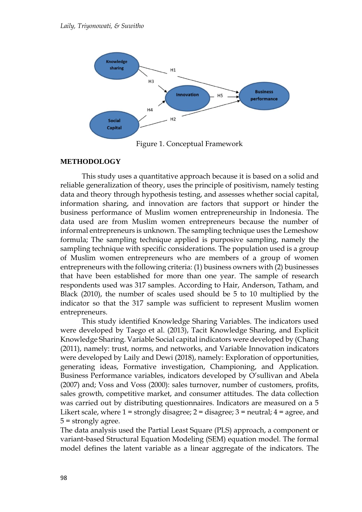

Figure 1. Conceptual Framework

## **METHODOLOGY**

This study uses a quantitative approach because it is based on a solid and reliable generalization of theory, uses the principle of positivism, namely testing data and theory through hypothesis testing, and assesses whether social capital, information sharing, and innovation are factors that support or hinder the business performance of Muslim women entrepreneurship in Indonesia. The data used are from Muslim women entrepreneurs because the number of informal entrepreneurs is unknown. The sampling technique uses the Lemeshow formula; The sampling technique applied is purposive sampling, namely the sampling technique with specific considerations. The population used is a group of Muslim women entrepreneurs who are members of a group of women entrepreneurs with the following criteria: (1) business owners with (2) businesses that have been established for more than one year. The sample of research respondents used was 317 samples. According to Hair, Anderson, Tatham, and Black (2010), the number of scales used should be 5 to 10 multiplied by the indicator so that the 317 sample was sufficient to represent Muslim women entrepreneurs.

This study identified Knowledge Sharing Variables. The indicators used were developed by Taego et al. (2013), Tacit Knowledge Sharing, and Explicit Knowledge Sharing. Variable Social capital indicators were developed by (Chang (2011), namely: trust, norms, and networks, and Variable Innovation indicators were developed by Laily and Dewi (2018), namely: Exploration of opportunities, generating ideas, Formative investigation, Championing, and Application. Business Performance variables, indicators developed by O'sullivan and Abela (2007) and; Voss and Voss (2000): sales turnover, number of customers, profits, sales growth, competitive market, and consumer attitudes. The data collection was carried out by distributing questionnaires. Indicators are measured on a 5 Likert scale, where  $1 =$  strongly disagree;  $2 =$  disagree;  $3 =$  neutral;  $4 =$  agree, and 5 = strongly agree.

The data analysis used the Partial Least Square (PLS) approach, a component or variant-based Structural Equation Modeling (SEM) equation model. The formal model defines the latent variable as a linear aggregate of the indicators. The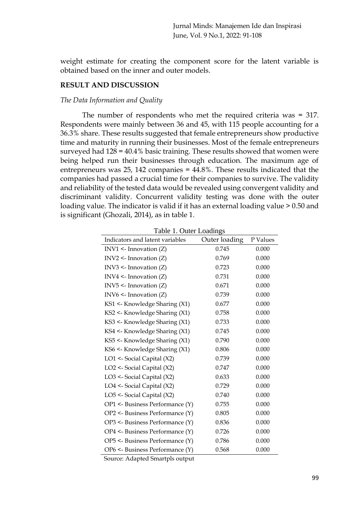weight estimate for creating the component score for the latent variable is obtained based on the inner and outer models.

#### **RESULT AND DISCUSSION**

#### *The Data Information and Quality*

The number of respondents who met the required criteria was = 317. Respondents were mainly between 36 and 45, with 115 people accounting for a 36.3% share. These results suggested that female entrepreneurs show productive time and maturity in running their businesses. Most of the female entrepreneurs surveyed had  $128 = 40.4\%$  basic training. These results showed that women were being helped run their businesses through education. The maximum age of entrepreneurs was 25, 142 companies = 44.8%. These results indicated that the companies had passed a crucial time for their companies to survive. The validity and reliability of the tested data would be revealed using convergent validity and discriminant validity. Concurrent validity testing was done with the outer loading value. The indicator is valid if it has an external loading value  $> 0.50$  and is significant (Ghozali, 2014), as in table 1.

| raon r. Outer Loudings<br>Indicators and latent variables | Outer loading | P Values |
|-----------------------------------------------------------|---------------|----------|
| $INV1$ <- Innovation $(Z)$                                | 0.745         | 0.000    |
| $INV2$ <- Innovation $(Z)$                                | 0.769         | 0.000    |
| $INV3$ <- Innovation $(Z)$                                | 0.723         | 0.000    |
| INV4 $\leq$ Innovation (Z)                                | 0.731         | 0.000    |
| $INV5$ <- Innovation $(Z)$                                | 0.671         | 0.000    |
| INV6 $\leq$ Innovation (Z)                                | 0.739         | 0.000    |
| KS1 <- Knowledge Sharing (X1)                             | 0.677         | 0.000    |
| KS2 <- Knowledge Sharing (X1)                             | 0.758         | 0.000    |
| KS3 <- Knowledge Sharing (X1)                             | 0.733         | 0.000    |
| KS4 <- Knowledge Sharing (X1)                             | 0.745         | 0.000    |
| KS5 <- Knowledge Sharing (X1)                             | 0.790         | 0.000    |
| KS6 <- Knowledge Sharing (X1)                             | 0.806         | 0.000    |
| LO1 <- Social Capital (X2)                                | 0.739         | 0.000    |
| LO2 <- Social Capital (X2)                                | 0.747         | 0.000    |
| LO3 <- Social Capital (X2)                                | 0.633         | 0.000    |
| LO4 <- Social Capital (X2)                                | 0.729         | 0.000    |
| LO5 <- Social Capital (X2)                                | 0.740         | 0.000    |
| OP1 <- Business Performance (Y)                           | 0.755         | 0.000    |
| OP2 <- Business Performance (Y)                           | 0.805         | 0.000    |
| OP3 <- Business Performance (Y)                           | 0.836         | 0.000    |
| OP4 <- Business Performance (Y)                           | 0.726         | 0.000    |
| OP5 <- Business Performance (Y)                           | 0.786         | 0.000    |
| OP6 <- Business Performance (Y)                           | 0.568         | 0.000    |

Table 1. Outer Loadings

Source: Adapted Smartpls output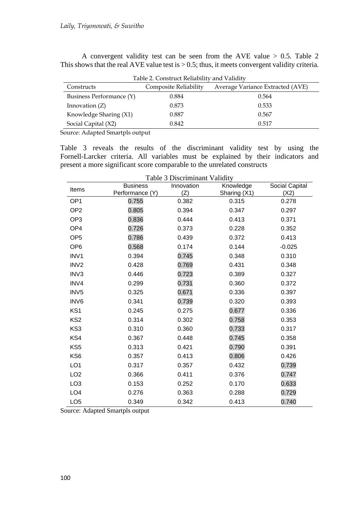A convergent validity test can be seen from the AVE value > 0.5. Table 2 This shows that the real AVE value test is  $> 0.5$ ; thus, it meets convergent validity criteria.

| Table 2. Construct Reliability and Validity |                       |                                  |  |  |  |
|---------------------------------------------|-----------------------|----------------------------------|--|--|--|
| Constructs                                  | Composite Reliability | Average Variance Extracted (AVE) |  |  |  |
| Business Performance (Y)                    | 0.884                 | 0.564                            |  |  |  |
| Innovation $(Z)$                            | 0.873                 | 0.533                            |  |  |  |
| Knowledge Sharing (X1)                      | 0.887                 | 0.567                            |  |  |  |
| Social Capital (X2)                         | 0.842                 | 0.517                            |  |  |  |

Source: Adapted Smartpls output

Table 3 reveals the results of the discriminant validity test by using the Fornell-Larcker criteria. All variables must be explained by their indicators and present a more significant score comparable to the unrelated constructs

| Table 3 Discriminant Validity |                                    |              |                           |                        |  |  |  |
|-------------------------------|------------------------------------|--------------|---------------------------|------------------------|--|--|--|
| Items                         | <b>Business</b><br>Performance (Y) | Innovation   | Knowledge<br>Sharing (X1) | Social Capital<br>(X2) |  |  |  |
| OP <sub>1</sub>               | 0.755                              | (Z)<br>0.382 | 0.315                     | 0.278                  |  |  |  |
| OP <sub>2</sub>               |                                    |              |                           |                        |  |  |  |
|                               | 0.805                              | 0.394        | 0.347                     | 0.297                  |  |  |  |
| OP <sub>3</sub>               | 0.836                              | 0.444        | 0.413                     | 0.371                  |  |  |  |
| OP <sub>4</sub>               | 0.726                              | 0.373        | 0.228                     | 0.352                  |  |  |  |
| OP <sub>5</sub>               | 0.786                              | 0.439        | 0.372                     | 0.413                  |  |  |  |
| OP <sub>6</sub>               | 0.568                              | 0.174        | 0.144                     | $-0.025$               |  |  |  |
| INV1                          | 0.394                              | 0.745        | 0.348                     | 0.310                  |  |  |  |
| IN <sub>V2</sub>              | 0.428                              | 0.769        | 0.431                     | 0.348                  |  |  |  |
| INV3                          | 0.446                              | 0.723        | 0.389                     | 0.327                  |  |  |  |
| INV4                          | 0.299                              | 0.731        | 0.360                     | 0.372                  |  |  |  |
| INV <sub>5</sub>              | 0.325                              | 0.671        | 0.336                     | 0.397                  |  |  |  |
| INV6                          | 0.341                              | 0.739        | 0.320                     | 0.393                  |  |  |  |
| KS <sub>1</sub>               | 0.245                              | 0.275        | 0.677                     | 0.336                  |  |  |  |
| KS <sub>2</sub>               | 0.314                              | 0.302        | 0.758                     | 0.353                  |  |  |  |
| KS3                           | 0.310                              | 0.360        | 0.733                     | 0.317                  |  |  |  |
| KS4                           | 0.367                              | 0.448        | 0.745                     | 0.358                  |  |  |  |
| KS <sub>5</sub>               | 0.313                              | 0.421        | 0.790                     | 0.391                  |  |  |  |
| KS <sub>6</sub>               | 0.357                              | 0.413        | 0.806                     | 0.426                  |  |  |  |
| LO <sub>1</sub>               | 0.317                              | 0.357        | 0.432                     | 0.739                  |  |  |  |
| LO <sub>2</sub>               | 0.366                              | 0.411        | 0.376                     | 0.747                  |  |  |  |
| LO <sub>3</sub>               | 0.153                              | 0.252        | 0.170                     | 0.633                  |  |  |  |
| LO <sub>4</sub>               | 0.276                              | 0.363        | 0.288                     | 0.729                  |  |  |  |
| LO <sub>5</sub>               | 0.349                              | 0.342        | 0.413                     | 0.740                  |  |  |  |

Source: Adapted Smartpls output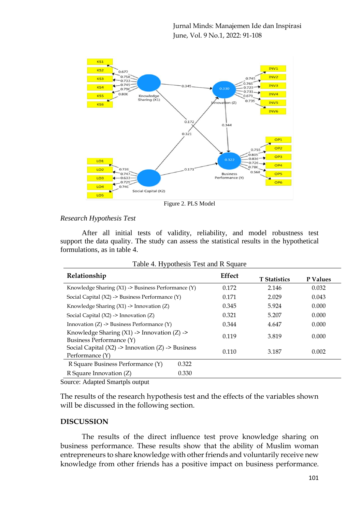

Figure 2. PLS Model

## *Research Hypothesis Test*

After all initial tests of validity, reliability, and model robustness test support the data quality. The study can assess the statistical results in the hypothetical formulations, as in table 4.

| Relationship                                                                                           | Effect |                     |          |
|--------------------------------------------------------------------------------------------------------|--------|---------------------|----------|
|                                                                                                        |        | <b>T</b> Statistics | P Values |
| Knowledge Sharing (X1) -> Business Performance (Y)                                                     | 0.172  | 2.146               | 0.032    |
| Social Capital $(X2) \rightarrow$ Business Performance $(Y)$                                           | 0.171  | 2.029               | 0.043    |
| Knowledge Sharing $(X1) \rightarrow$ Innovation $(Z)$                                                  | 0.345  | 5.924               | 0.000    |
| Social Capital $(X2) \rightarrow$ Innovation $(Z)$                                                     | 0.321  | 5.207               | 0.000    |
| Innovation $(Z) \rightarrow$ Business Performance $(Y)$                                                | 0.344  | 4.647               | 0.000    |
| Knowledge Sharing $(X1) \rightarrow$ Innovation $(Z) \rightarrow$<br>Business Performance (Y)          | 0.119  | 3.819               | 0.000    |
| Social Capital $(X2) \rightarrow \text{Innovation} (Z) \rightarrow \text{Business}$<br>Performance (Y) | 0.110  | 3.187               | 0.002    |
| R Square Business Performance (Y)<br>0.322                                                             |        |                     |          |
| 0.330<br>R Square Innovation (Z)                                                                       |        |                     |          |

Table 4. Hypothesis Test and R Square

Source: Adapted Smartpls output

The results of the research hypothesis test and the effects of the variables shown will be discussed in the following section.

## **DISCUSSION**

The results of the direct influence test prove knowledge sharing on business performance. These results show that the ability of Muslim woman entrepreneurs to share knowledge with other friends and voluntarily receive new knowledge from other friends has a positive impact on business performance.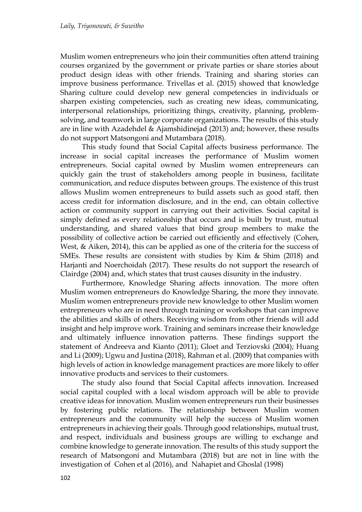Muslim women entrepreneurs who join their communities often attend training courses organized by the government or private parties or share stories about product design ideas with other friends. Training and sharing stories can improve business performance. Trivellas et al. (2015) showed that knowledge Sharing culture could develop new general competencies in individuals or sharpen existing competencies, such as creating new ideas, communicating, interpersonal relationships, prioritizing things, creativity, planning, problemsolving, and teamwork in large corporate organizations. The results of this study are in line with Azadehdel & Ajamshidinejad (2013) and; however, these results do not support Matsongoni and Mutambara (2018).

This study found that Social Capital affects business performance. The increase in social capital increases the performance of Muslim women entrepreneurs. Social capital owned by Muslim women entrepreneurs can quickly gain the trust of stakeholders among people in business, facilitate communication, and reduce disputes between groups. The existence of this trust allows Muslim women entrepreneurs to build assets such as good staff, then access credit for information disclosure, and in the end, can obtain collective action or community support in carrying out their activities. Social capital is simply defined as every relationship that occurs and is built by trust, mutual understanding, and shared values that bind group members to make the possibility of collective action be carried out efficiently and effectively (Cohen, West, & Aiken, 2014), this can be applied as one of the criteria for the success of SMEs. These results are consistent with studies by Kim & Shim (2018) and Harjanti and Noerchoidah (2017). These results do not support the research of Clairdge (2004) and, which states that trust causes disunity in the industry.

Furthermore, Knowledge Sharing affects innovation. The more often Muslim women entrepreneurs do Knowledge Sharing, the more they innovate. Muslim women entrepreneurs provide new knowledge to other Muslim women entrepreneurs who are in need through training or workshops that can improve the abilities and skills of others. Receiving wisdom from other friends will add insight and help improve work. Training and seminars increase their knowledge and ultimately influence innovation patterns. These findings support the statement of Andreeva and Kianto (2011); Gloet and Terziovski (2004); Huang and Li (2009); Ugwu and Justina (2018), Rahman et al. (2009) that companies with high levels of action in knowledge management practices are more likely to offer innovative products and services to their customers.

The study also found that Social Capital affects innovation. Increased social capital coupled with a local wisdom approach will be able to provide creative ideas for innovation. Muslim women entrepreneurs run their businesses by fostering public relations. The relationship between Muslim women entrepreneurs and the community will help the success of Muslim women entrepreneurs in achieving their goals. Through good relationships, mutual trust, and respect, individuals and business groups are willing to exchange and combine knowledge to generate innovation. The results of this study support the research of Matsongoni and Mutambara (2018) but are not in line with the investigation of Cohen et al (2016), and Nahapiet and Ghoslal (1998)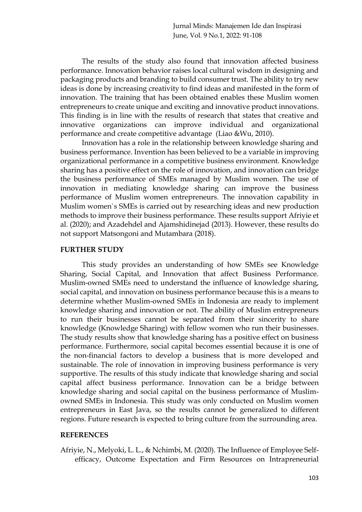The results of the study also found that innovation affected business performance. Innovation behavior raises local cultural wisdom in designing and packaging products and branding to build consumer trust. The ability to try new ideas is done by increasing creativity to find ideas and manifested in the form of innovation. The training that has been obtained enables these Muslim women entrepreneurs to create unique and exciting and innovative product innovations. This finding is in line with the results of research that states that creative and innovative organizations can improve individual and organizational performance and create competitive advantage (Liao &Wu, 2010).

Innovation has a role in the relationship between knowledge sharing and business performance. Invention has been believed to be a variable in improving organizational performance in a competitive business environment. Knowledge sharing has a positive effect on the role of innovation, and innovation can bridge the business performance of SMEs managed by Muslim women. The use of innovation in mediating knowledge sharing can improve the business performance of Muslim women entrepreneurs. The innovation capability in Muslim women`s SMEs is carried out by researching ideas and new production methods to improve their business performance. These results support Afriyie et al. (2020); and Azadehdel and Ajamshidinejad (2013). However, these results do not support Matsongoni and Mutambara (2018).

## **FURTHER STUDY**

This study provides an understanding of how SMEs see Knowledge Sharing, Social Capital, and Innovation that affect Business Performance. Muslim-owned SMEs need to understand the influence of knowledge sharing, social capital, and innovation on business performance because this is a means to determine whether Muslim-owned SMEs in Indonesia are ready to implement knowledge sharing and innovation or not. The ability of Muslim entrepreneurs to run their businesses cannot be separated from their sincerity to share knowledge (Knowledge Sharing) with fellow women who run their businesses. The study results show that knowledge sharing has a positive effect on business performance. Furthermore, social capital becomes essential because it is one of the non-financial factors to develop a business that is more developed and sustainable. The role of innovation in improving business performance is very supportive. The results of this study indicate that knowledge sharing and social capital affect business performance. Innovation can be a bridge between knowledge sharing and social capital on the business performance of Muslimowned SMEs in Indonesia. This study was only conducted on Muslim women entrepreneurs in East Java, so the results cannot be generalized to different regions. Future research is expected to bring culture from the surrounding area.

## **REFERENCES**

Afriyie, N., Melyoki, L. L., & Nchimbi, M. (2020). The Influence of Employee Selfefficacy, Outcome Expectation and Firm Resources on Intrapreneurial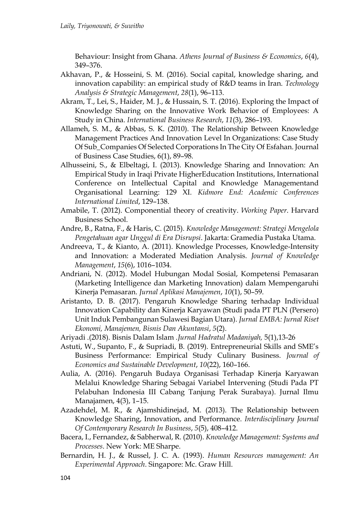Behaviour: Insight from Ghana. *Athens Journal of Business & Economics*, *6*(4), 349–376.

- Akhavan, P., & Hosseini, S. M. (2016). Social capital, knowledge sharing, and innovation capability: an empirical study of R&D teams in Iran. *Technology Analysis & Strategic Management*, *28*(1), 96–113.
- Akram, T., Lei, S., Haider, M. J., & Hussain, S. T. (2016). Exploring the Impact of Knowledge Sharing on the Innovative Work Behavior of Employees: A Study in China. *International Business Research*, *11*(3), 286–193.
- Allameh, S. M., & Abbas, S. K. (2010). The Relationship Between Knowledge Management Practices And Innovation Level In Organizations: Case Study Of Sub\_Companies Of Selected Corporations In The City Of Esfahan. Journal of Business Case Studies, 6(1), 89–98.
- Alhusseini, S., & Elbeltagi, I. (2013). Knowledge Sharing and Innovation: An Empirical Study in Iraqi Private HigherEducation Institutions, International Conference on Intellectual Capital and Knowledge Managementand Organisational Learning: 129 XI. *Kidmore End: Academic Conferences International Limited*, 129–138.
- Amabile, T. (2012). Componential theory of creativity. *Working Paper*. Harvard Business School.
- Andre, B., Ratna, F., & Haris, C. (2015). *Knowledge Management: Strategi Mengelola Pengetahuan agar Unggul di Era Disrupsi*. Jakarta: Gramedia Pustaka Utama.
- Andreeva, T., & Kianto, A. (2011). Knowledge Processes, Knowledge-Intensity and Innovation: a Moderated Mediation Analysis. *Journal of Knowledge Management*, *15*(6), 1016–1034.
- Andriani, N. (2012). Model Hubungan Modal Sosial, Kompetensi Pemasaran (Marketing Intelligence dan Marketing Innovation) dalam Mempengaruhi Kinerja Pemasaran. *Jurnal Aplikasi Manajemen*, *10*(1), 50–59.
- Aristanto, D. B. (2017). Pengaruh Knowledge Sharing terhadap Individual Innovation Capability dan Kinerja Karyawan (Studi pada PT PLN (Persero) Unit Induk Pembangunan Sulawesi Bagian Utara). *Jurnal EMBA: Jurnal Riset Ekonomi, Manajemen, Bisnis Dan Akuntansi*, *5*(2).
- Ariyadi .(2018). Bisnis Dalam Islam .*Jurnal Hadratul Madaniyah,* 5(1),13-26
- Astuti, W., Supanto, F., & Supriadi, B. (2019). Entrepreneurial Skills and SME's Business Performance: Empirical Study Culinary Business. *Journal of Economics and Sustainable Development*, *10*(22), 160–166.
- Aulia, A. (2016). Pengaruh Budaya Organisasi Terhadap Kinerja Karyawan Melalui Knowledge Sharing Sebagai Variabel Intervening (Studi Pada PT Pelabuhan Indonesia III Cabang Tanjung Perak Surabaya). Jurnal Ilmu Manajamen, 4(3), 1–15.
- Azadehdel, M. R., & Ajamshidinejad, M. (2013). The Relationship between Knowledge Sharing, Innovation, and Performance. *Interdisciplinary Journal Of Contemporary Research In Business*, *5*(5), 408–412.
- Bacera, I., Fernandez, & Sabherwal, R. (2010). *Knowledge Management: Systems and Processes*. New York: ME Sharpe.
- Bernardin, H. J., & Russel, J. C. A. (1993). *Human Resources management: An Experimental Approach*. Singapore: Mc. Graw Hill.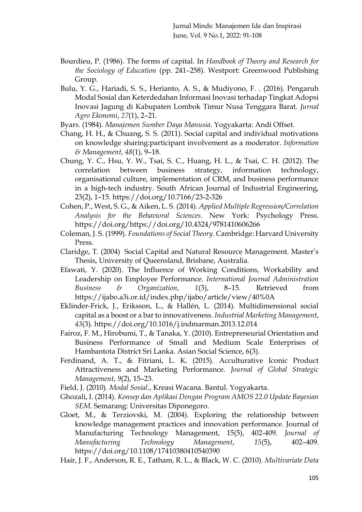- Bourdieu, P. (1986). The forms of capital. In *Handbook of Theory and Research for the Sociology of Education* (pp. 241–258). Westport: Greenwood Publishing Group.
- Bulu, Y. G., Hariadi, S. S., Herianto, A. S., & Mudiyono, F. . (2016). Pengaruh Modal Sosial dan Keterdedahan Informasi Inovasi terhadap Tingkat Adopsi Inovasi Jagung di Kabupaten Lombok Timur Nusa Tenggara Barat. *Jurnal Agro Ekonomi*, *27*(1), 2–21.
- Byars. (1984). *Manajemen Sumber Daya Manusia*. Yogyakarta: Andi Offset.
- Chang, H. H., & Chuang, S. S. (2011). Social capital and individual motivations on knowledge sharing:participant involvement as a moderator. *Information & Management*, *48*(1), 9–18.
- Chung, Y. C., Hsu, Y. W., Tsai, S. C., Huang, H. L., & Tsai, C. H. (2012). The correlation between business strategy, information technology, organisational culture, implementation of CRM, and business performance in a high-tech industry. South African Journal of Industrial Engineering, 23(2), 1–15. https://doi.org/10.7166/23-2-326
- Cohen, P., West, S. G., & Aiken, L. S. (2014). *Applied Multiple Regression/Correlation Analysis for the Behavioral Sciences*. New York: Psychology Press. https://doi.org/https://doi.org/10.4324/9781410606266
- Coleman, J. S. (1999). *Foundations of Social Theory*. Cambridge: Harvard University Press.
- Claridge, T. (2004) Social Capital and Natural Resource Management. Master's Thesis, University of Queensland, Brisbane, Australia.
- Efawati, Y. (2020). The Influence of Working Conditions, Workability and Leadership on Employee Performance. *International Journal Administration Business & Organization*, *1*(3), 8–15. Retrieved from https://ijabo.a3i.or.id/index.php/ijabo/article/view/40%0A
- Eklinder-Frick, J., Eriksson, L., & Hallén, L. (2014). Multidimensional social capital as a boost or a bar to innovativeness. *Industrial Marketing Management*, *43*(3). https://doi.org/10.1016/j.indmarman.2013.12.014
- Fairoz, F. M., Hirobumi, T., & Tanaka, Y. (2010). Entrepreneurial Orientation and Business Performance of Small and Medium Scale Enterprises of Hambantota District Sri Lanka. Asian Social Science, 6(3).
- Ferdinand, A. T., & Fitriani, L. K. (2015). Acculturative Iconic Product Attractiveness and Marketing Performance. *Journal of Global Strategic Management*, *9*(2), 15–23.
- Field, J. (2010). *Modal Sosial*., Kreasi Wacana. Bantul. Yogyakarta.
- Ghozali, I. (2014). *Konsep dan Aplikasi Dengan Program AMOS 22.0 Update Bayesian SEM*. Semarang: Universitas Diponegoro.
- Gloet, M., & Terziovski, M. (2004). Exploring the relationship between knowledge management practices and innovation performance. Journal of Manufacturing Technology Management, 15(5), 402-409. *Journal of Manufacturing Technology Management*, *15*(5), 402–409. https://doi.org/10.1108/17410380410540390
- Hair, J. F., Anderson, R. E., Tatham, R. L., & Black, W. C. (2010). *Multivariate Data*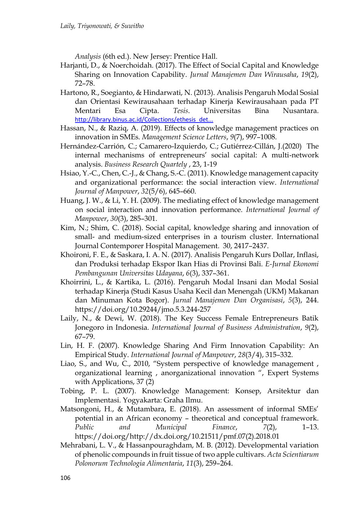*Analysis* (6th ed.). New Jersey: Prentice Hall.

- Harjanti, D., & Noerchoidah. (2017). The Effect of Social Capital and Knowledge Sharing on Innovation Capability. *Jurnal Manajemen Dan Wirausaha*, *19*(2), 72–78.
- Hartono, R., Soegianto, & Hindarwati, N. (2013). Analisis Pengaruh Modal Sosial dan Orientasi Kewirausahaan terhadap Kinerja Kewirausahaan pada PT Mentari Esa Cipta. *Tesis*. Universitas Bina Nusantara. [http://library.binus.ac.id/Collections/ethesis\\_det...](http://library.binus.ac.id/Collections/ethesis_detail.aspx?ethesisid=2013-1-00127-MN)
- Hassan, N., & Raziq, A. (2019). Effects of knowledge management practices on innovation in SMEs. *Management Science Letters*, *9*(7), 997–1008.
- Hernández-Carrión, C.; Camarero-Izquierdo, C.; Gutiérrez-Cillán, J.(2020) The internal mechanisms of entrepreneurs' social capital: A multi-network analysis. *Business Research Quartely* , 23, 1-19
- Hsiao, Y.-C., Chen, C.-J., & Chang, S.-C. (2011). Knowledge management capacity and organizational performance: the social interaction view. *International Journal of Manpower*, *32*(5/6), 645–660.
- Huang, J. W., & Li, Y. H. (2009). The mediating effect of knowledge management on social interaction and innovation performance. *International Journal of Manpower*, *30*(3), 285–301.
- Kim, N.; Shim, C. (2018). Social capital, knowledge sharing and innovation of small- and medium-sized enterprises in a tourism cluster. International Journal Contemporer Hospital Management. 30, 2417–2437.
- Khoironi, F. E., & Saskara, I. A. N. (2017). Analisis Pengaruh Kurs Dollar, Inflasi, dan Produksi terhadap Ekspor Ikan Hias di Provinsi Bali. *E-Jurnal Ekonomi Pembangunan Universitas Udayana*, *6*(3), 337–361.
- Khoirrini, L., & Kartika, L. (2016). Pengaruh Modal Insani dan Modal Sosial terhadap Kinerja (Studi Kasus Usaha Kecil dan Menengah (UKM) Makanan dan Minuman Kota Bogor). *Jurnal Manajemen Dan Organisasi*, *5*(3), 244. https://doi.org/10.29244/jmo.5.3.244-257
- Laily, N., & Dewi, W. (2018). The Key Success Female Entrepreneurs Batik Jonegoro in Indonesia. *International Journal of Business Administration*, *9*(2), 67–79.
- Lin, H. F. (2007). Knowledge Sharing And Firm Innovation Capability: An Empirical Study. *International Journal of Manpower*, *28*(3/4), 315–332.
- Liao, S., and Wu, C., 2010, "System perspective of knowledge management , organizational learning , anorganizational innovation ", Expert Systems with Applications, 37 (2)
- Tobing, P. L. (2007). Knowledge Management: Konsep, Arsitektur dan Implementasi. Yogyakarta: Graha Ilmu.
- Matsongoni, H., & Mutambara, E. (2018). An assessment of informal SMEs' potential in an African economy – theoretical and conceptual framework. *Public and Municipal Finance*, *7*(2), 1–13. https://doi.org/http://dx.doi.org/10.21511/pmf.07(2).2018.01
- Mehrabani, L. V., & Hassanpouraghdam, M. B. (2012). Developmental variation of phenolic compounds in fruit tissue of two apple cultivars. *Acta Scientiarum Polonorum Technologia Alimentaria*, *11*(3), 259–264.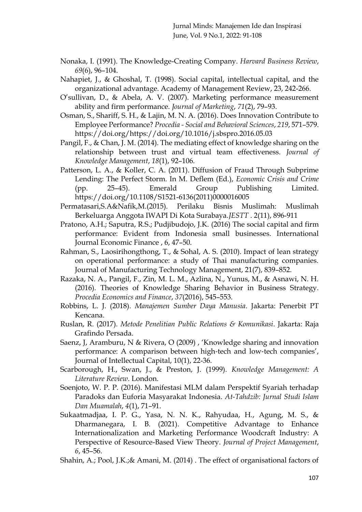- Nonaka, I. (1991). The Knowledge-Creating Company. *Harvard Business Review*, *69*(6), 96–104.
- Nahapiet, J., & Ghoshal, T. (1998). Social capital, intellectual capital, and the organizational advantage. Academy of Management Review, 23, 242-266.
- O'sullivan, D., & Abela, A. V. (2007). Marketing performance measurement ability and firm performance. *Journal of Marketing*, *71*(2), 79–93.
- Osman, S., Shariff, S. H., & Lajin, M. N. A. (2016). Does Innovation Contribute to Employee Performance? *Procedia - Social and Behavioral Sciences*, *219*, 571–579. https://doi.org/https://doi.org/10.1016/j.sbspro.2016.05.03
- Pangil, F., & Chan, J. M. (2014). The mediating effect of knowledge sharing on the relationship between trust and virtual team effectiveness. *Journal of Knowledge Management*, *18*(1), 92–106.
- Patterson, L. A., & Koller, C. A. (2011). Diffusion of Fraud Through Subprime Lending: The Perfect Storm. In M. Deflem (Ed.), *Economic Crisis and Crime* (pp. 25–45). Emerald Group Publishing Limited. https://doi.org/10.1108/S1521-6136(2011)0000016005
- Permatasari,S.A&Nafik,M.(2015). Perilaku Bisnis Muslimah: Muslimah Berkeluarga Anggota IWAPI Di Kota Surabaya.*JESTT* . 2(11), 896-911
- Pratono, A.H.; Saputra, R.S.; Pudjibudojo, J.K. (2016) The social capital and firm performance: Evident from Indonesia small businesses. International Journal Economic Finance , 6, 47–50.
- Rahman, S., Laosirihongthong, T., & Sohal, A. S. (2010). Impact of lean strategy on operational performance: a study of Thai manufacturing companies. Journal of Manufacturing Technology Management, 21(7), 839–852.
- Razaka, N. A., Pangil, F., Zin, M. L. M., Azlina, N., Yunus, M., & Asnawi, N. H. (2016). Theories of Knowledge Sharing Behavior in Business Strategy. *Procedia Economics and Finance*, *37*(2016), 545–553.
- Robbins, L. J. (2018). *Manajemen Sumber Daya Manusia*. Jakarta: Penerbit PT Kencana.
- Ruslan, R. (2017). *Metode Penelitian Public Relations & Komunikasi*. Jakarta: Raja Grafindo Persada.
- Saenz, J, Aramburu, N & Rivera, O (2009) , 'Knowledge sharing and innovation performance: A comparison between high-tech and low-tech companies', Journal of Intellectual Capital, 10(1), 22-36.
- Scarborough, H., Swan, J., & Preston, J. (1999). *Knowledge Management: A Literature Review*. London.
- Soenjoto, W. P. P. (2016). Manifestasi MLM dalam Perspektif Syariah terhadap Paradoks dan Euforia Masyarakat Indonesia. *At-Tahdzib: Jurnal Studi Islam Dan Muamalah*, *4*(1), 71–91.
- Sukaatmadjaa, I. P. G., Yasa, N. N. K., Rahyudaa, H., Agung, M. S., & Dharmanegara, I. B. (2021). Competitive Advantage to Enhance Internationalization and Marketing Performance Woodcraft Industry: A Perspective of Resource-Based View Theory. *Journal of Project Management*, *6*, 45–56.
- Shahin, A.; Pool, J.K.;& Amani, M. (2014) . The effect of organisational factors of